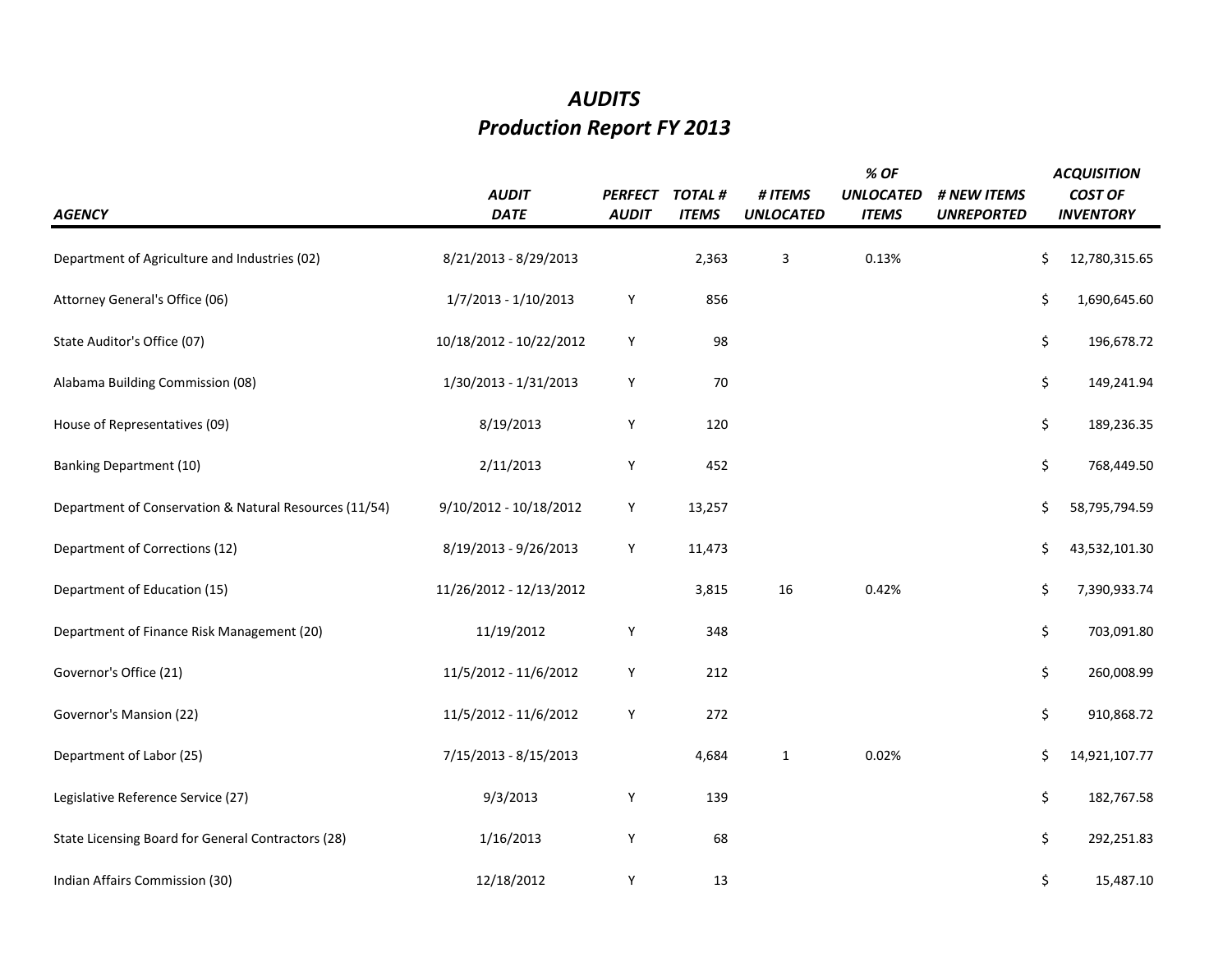## *AUDITS Production Report FY 2013*

| <b>AGENCY</b>                                          | <b>AUDIT</b><br><b>DATE</b> | <b>PERFECT</b><br><b>AUDIT</b> | <b>TOTAL#</b><br><b>ITEMS</b> | # ITEMS<br><b>UNLOCATED</b> | % OF<br><b>UNLOCATED</b><br><b>ITEMS</b> | # NEW ITEMS<br><b>UNREPORTED</b> | <b>ACQUISITION</b><br><b>COST OF</b><br><b>INVENTORY</b> |
|--------------------------------------------------------|-----------------------------|--------------------------------|-------------------------------|-----------------------------|------------------------------------------|----------------------------------|----------------------------------------------------------|
| Department of Agriculture and Industries (02)          | 8/21/2013 - 8/29/2013       |                                | 2,363                         | 3                           | 0.13%                                    |                                  | \$<br>12,780,315.65                                      |
| Attorney General's Office (06)                         | 1/7/2013 - 1/10/2013        | Υ                              | 856                           |                             |                                          |                                  | \$<br>1,690,645.60                                       |
| State Auditor's Office (07)                            | 10/18/2012 - 10/22/2012     | Y                              | 98                            |                             |                                          |                                  | \$<br>196,678.72                                         |
| Alabama Building Commission (08)                       | 1/30/2013 - 1/31/2013       | Υ                              | 70                            |                             |                                          |                                  | \$<br>149,241.94                                         |
| House of Representatives (09)                          | 8/19/2013                   | Υ                              | 120                           |                             |                                          |                                  | \$<br>189,236.35                                         |
| <b>Banking Department (10)</b>                         | 2/11/2013                   | Υ                              | 452                           |                             |                                          |                                  | \$<br>768,449.50                                         |
| Department of Conservation & Natural Resources (11/54) | 9/10/2012 - 10/18/2012      | Y                              | 13,257                        |                             |                                          |                                  | \$<br>58,795,794.59                                      |
| Department of Corrections (12)                         | 8/19/2013 - 9/26/2013       | Υ                              | 11,473                        |                             |                                          |                                  | \$<br>43,532,101.30                                      |
| Department of Education (15)                           | 11/26/2012 - 12/13/2012     |                                | 3,815                         | 16                          | 0.42%                                    |                                  | \$<br>7,390,933.74                                       |
| Department of Finance Risk Management (20)             | 11/19/2012                  | Υ                              | 348                           |                             |                                          |                                  | \$<br>703,091.80                                         |
| Governor's Office (21)                                 | 11/5/2012 - 11/6/2012       | Υ                              | 212                           |                             |                                          |                                  | \$<br>260,008.99                                         |
| Governor's Mansion (22)                                | 11/5/2012 - 11/6/2012       | Υ                              | 272                           |                             |                                          |                                  | \$<br>910,868.72                                         |
| Department of Labor (25)                               | 7/15/2013 - 8/15/2013       |                                | 4,684                         | $\mathbf{1}$                | 0.02%                                    |                                  | \$<br>14,921,107.77                                      |
| Legislative Reference Service (27)                     | 9/3/2013                    | Υ                              | 139                           |                             |                                          |                                  | \$<br>182,767.58                                         |
| State Licensing Board for General Contractors (28)     | 1/16/2013                   | Υ                              | 68                            |                             |                                          |                                  | \$<br>292,251.83                                         |
| Indian Affairs Commission (30)                         | 12/18/2012                  | Υ                              | 13                            |                             |                                          |                                  | \$<br>15,487.10                                          |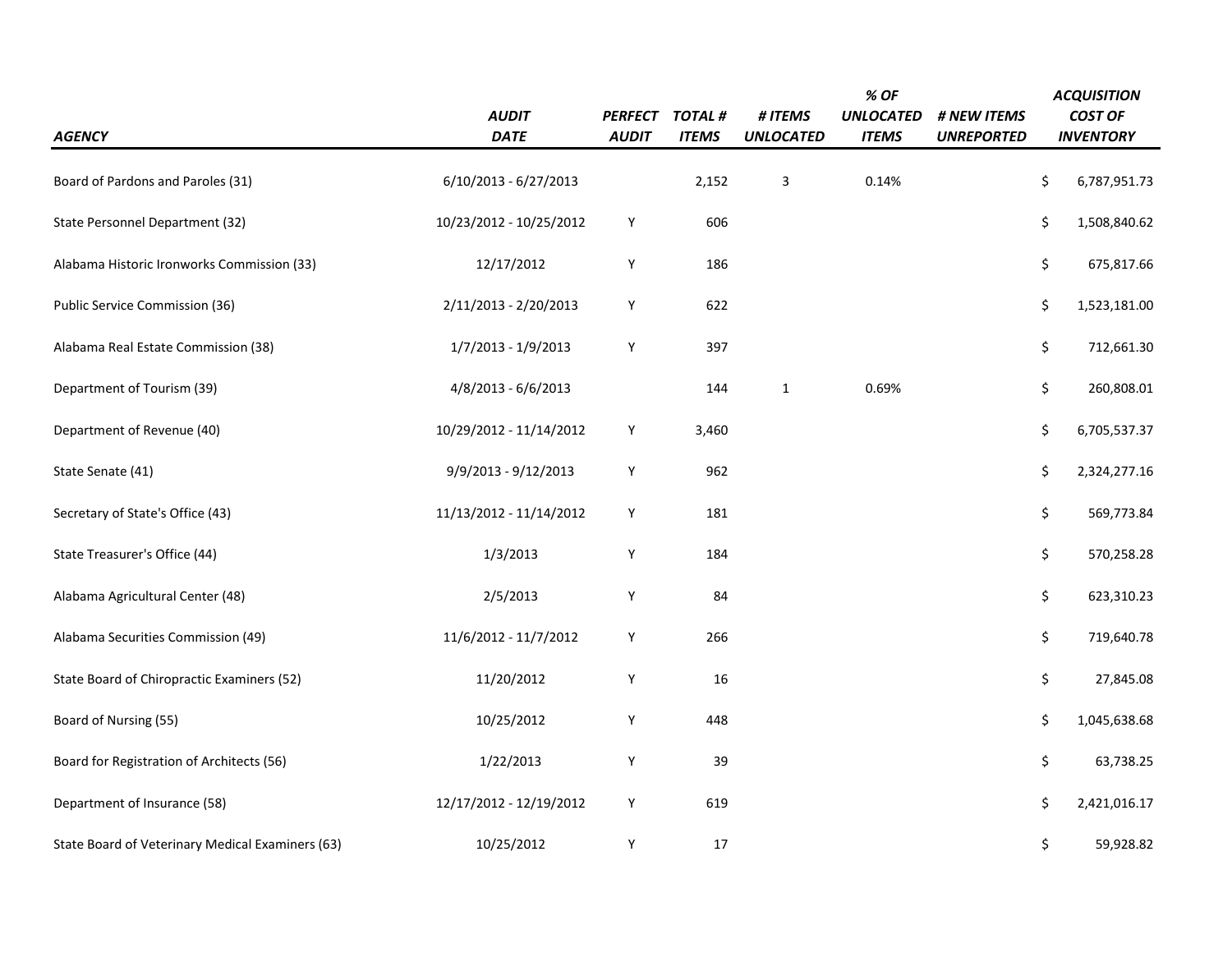|                                                  | <b>AUDIT</b>            | <b>PERFECT</b> | TOTAL#       | # ITEMS          | % OF<br><b>UNLOCATED</b> | # NEW ITEMS       | <b>ACQUISITION</b><br><b>COST OF</b> |
|--------------------------------------------------|-------------------------|----------------|--------------|------------------|--------------------------|-------------------|--------------------------------------|
| <b>AGENCY</b>                                    | <b>DATE</b>             | <b>AUDIT</b>   | <b>ITEMS</b> | <b>UNLOCATED</b> | <b>ITEMS</b>             | <b>UNREPORTED</b> | <b>INVENTORY</b>                     |
| Board of Pardons and Paroles (31)                | $6/10/2013 - 6/27/2013$ |                | 2,152        | 3                | 0.14%                    |                   | \$<br>6,787,951.73                   |
| State Personnel Department (32)                  | 10/23/2012 - 10/25/2012 | Υ              | 606          |                  |                          |                   | \$<br>1,508,840.62                   |
| Alabama Historic Ironworks Commission (33)       | 12/17/2012              | Υ              | 186          |                  |                          |                   | \$<br>675,817.66                     |
| Public Service Commission (36)                   | 2/11/2013 - 2/20/2013   | Υ              | 622          |                  |                          |                   | \$<br>1,523,181.00                   |
| Alabama Real Estate Commission (38)              | 1/7/2013 - 1/9/2013     | Υ              | 397          |                  |                          |                   | \$<br>712,661.30                     |
| Department of Tourism (39)                       | 4/8/2013 - 6/6/2013     |                | 144          | $\mathbf 1$      | 0.69%                    |                   | \$<br>260,808.01                     |
| Department of Revenue (40)                       | 10/29/2012 - 11/14/2012 | Υ              | 3,460        |                  |                          |                   | \$<br>6,705,537.37                   |
| State Senate (41)                                | 9/9/2013 - 9/12/2013    | Υ              | 962          |                  |                          |                   | \$<br>2,324,277.16                   |
| Secretary of State's Office (43)                 | 11/13/2012 - 11/14/2012 | Υ              | 181          |                  |                          |                   | \$<br>569,773.84                     |
| State Treasurer's Office (44)                    | 1/3/2013                | Υ              | 184          |                  |                          |                   | \$<br>570,258.28                     |
| Alabama Agricultural Center (48)                 | 2/5/2013                | Υ              | 84           |                  |                          |                   | \$<br>623,310.23                     |
| Alabama Securities Commission (49)               | 11/6/2012 - 11/7/2012   | Υ              | 266          |                  |                          |                   | \$<br>719,640.78                     |
| State Board of Chiropractic Examiners (52)       | 11/20/2012              | Υ              | 16           |                  |                          |                   | \$<br>27,845.08                      |
| Board of Nursing (55)                            | 10/25/2012              | Υ              | 448          |                  |                          |                   | \$<br>1,045,638.68                   |
| Board for Registration of Architects (56)        | 1/22/2013               | Υ              | 39           |                  |                          |                   | \$<br>63,738.25                      |
| Department of Insurance (58)                     | 12/17/2012 - 12/19/2012 | Υ              | 619          |                  |                          |                   | \$<br>2,421,016.17                   |
| State Board of Veterinary Medical Examiners (63) | 10/25/2012              | Υ              | 17           |                  |                          |                   | \$<br>59,928.82                      |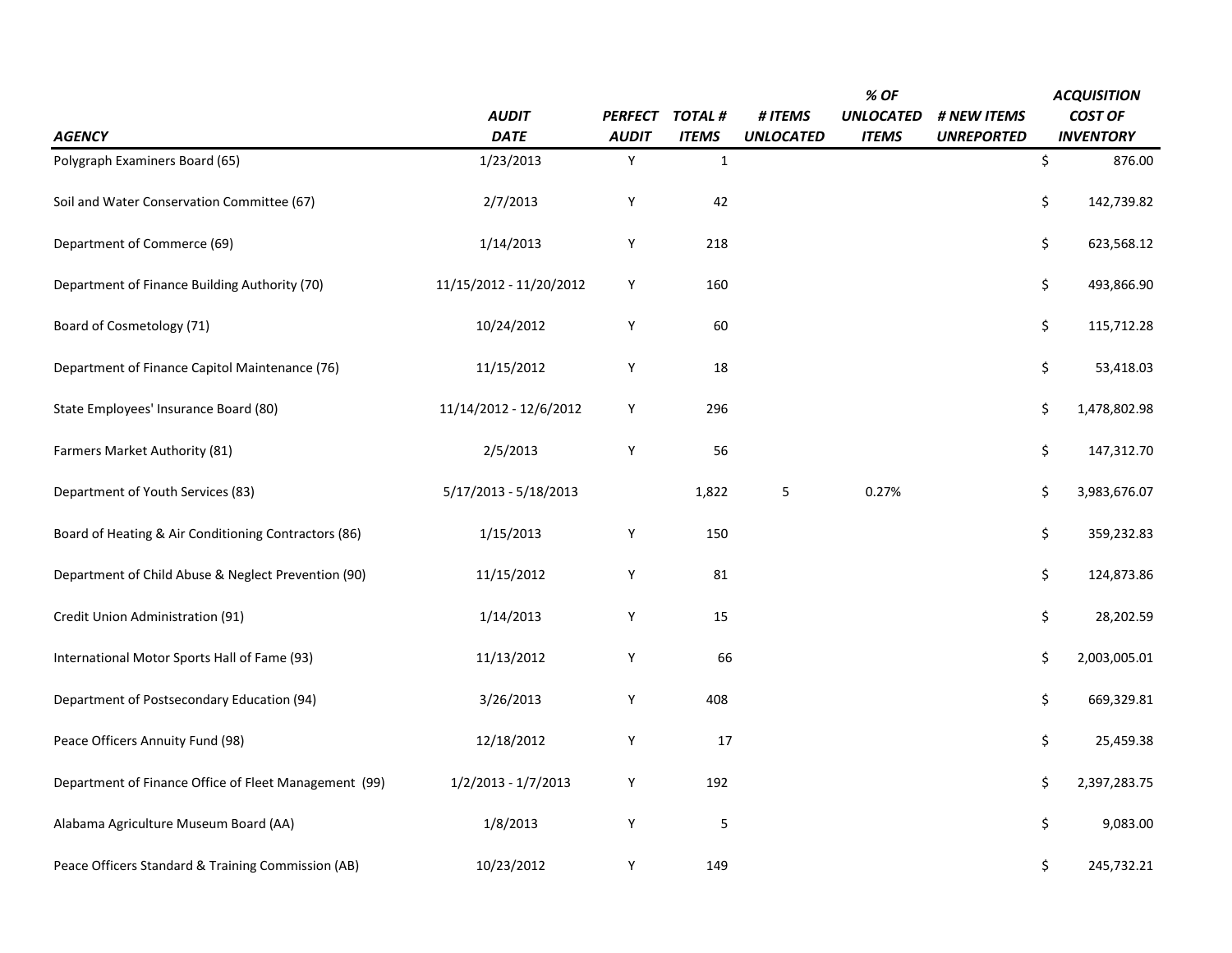|                                                       |                         |                |              |                  | % OF             |                   | <b>ACQUISITION</b> |
|-------------------------------------------------------|-------------------------|----------------|--------------|------------------|------------------|-------------------|--------------------|
|                                                       | <b>AUDIT</b>            | <b>PERFECT</b> | TOTAL #      | # ITEMS          | <b>UNLOCATED</b> | # NEW ITEMS       | <b>COST OF</b>     |
| <b>AGENCY</b>                                         | <b>DATE</b>             | <b>AUDIT</b>   | <b>ITEMS</b> | <b>UNLOCATED</b> | <b>ITEMS</b>     | <b>UNREPORTED</b> | <b>INVENTORY</b>   |
| Polygraph Examiners Board (65)                        | 1/23/2013               | Y              | $\mathbf{1}$ |                  |                  |                   | \$<br>876.00       |
| Soil and Water Conservation Committee (67)            | 2/7/2013                | Υ              | 42           |                  |                  |                   | \$<br>142,739.82   |
| Department of Commerce (69)                           | 1/14/2013               | Υ              | 218          |                  |                  |                   | \$<br>623,568.12   |
| Department of Finance Building Authority (70)         | 11/15/2012 - 11/20/2012 | Υ              | 160          |                  |                  |                   | \$<br>493,866.90   |
| Board of Cosmetology (71)                             | 10/24/2012              | Υ              | 60           |                  |                  |                   | \$<br>115,712.28   |
| Department of Finance Capitol Maintenance (76)        | 11/15/2012              | Υ              | 18           |                  |                  |                   | \$<br>53,418.03    |
| State Employees' Insurance Board (80)                 | 11/14/2012 - 12/6/2012  | Υ              | 296          |                  |                  |                   | \$<br>1,478,802.98 |
| Farmers Market Authority (81)                         | 2/5/2013                | Υ              | 56           |                  |                  |                   | \$<br>147,312.70   |
| Department of Youth Services (83)                     | 5/17/2013 - 5/18/2013   |                | 1,822        | 5                | 0.27%            |                   | \$<br>3,983,676.07 |
| Board of Heating & Air Conditioning Contractors (86)  | 1/15/2013               | Υ              | 150          |                  |                  |                   | \$<br>359,232.83   |
| Department of Child Abuse & Neglect Prevention (90)   | 11/15/2012              | Υ              | 81           |                  |                  |                   | \$<br>124,873.86   |
| Credit Union Administration (91)                      | 1/14/2013               | Υ              | 15           |                  |                  |                   | \$<br>28,202.59    |
| International Motor Sports Hall of Fame (93)          | 11/13/2012              | Υ              | 66           |                  |                  |                   | \$<br>2,003,005.01 |
| Department of Postsecondary Education (94)            | 3/26/2013               | Υ              | 408          |                  |                  |                   | \$<br>669,329.81   |
| Peace Officers Annuity Fund (98)                      | 12/18/2012              | Υ              | 17           |                  |                  |                   | \$<br>25,459.38    |
| Department of Finance Office of Fleet Management (99) | 1/2/2013 - 1/7/2013     | Υ              | 192          |                  |                  |                   | \$<br>2,397,283.75 |
| Alabama Agriculture Museum Board (AA)                 | 1/8/2013                | Υ              | $\mathsf S$  |                  |                  |                   | \$<br>9,083.00     |
| Peace Officers Standard & Training Commission (AB)    | 10/23/2012              | Υ              | 149          |                  |                  |                   | \$<br>245,732.21   |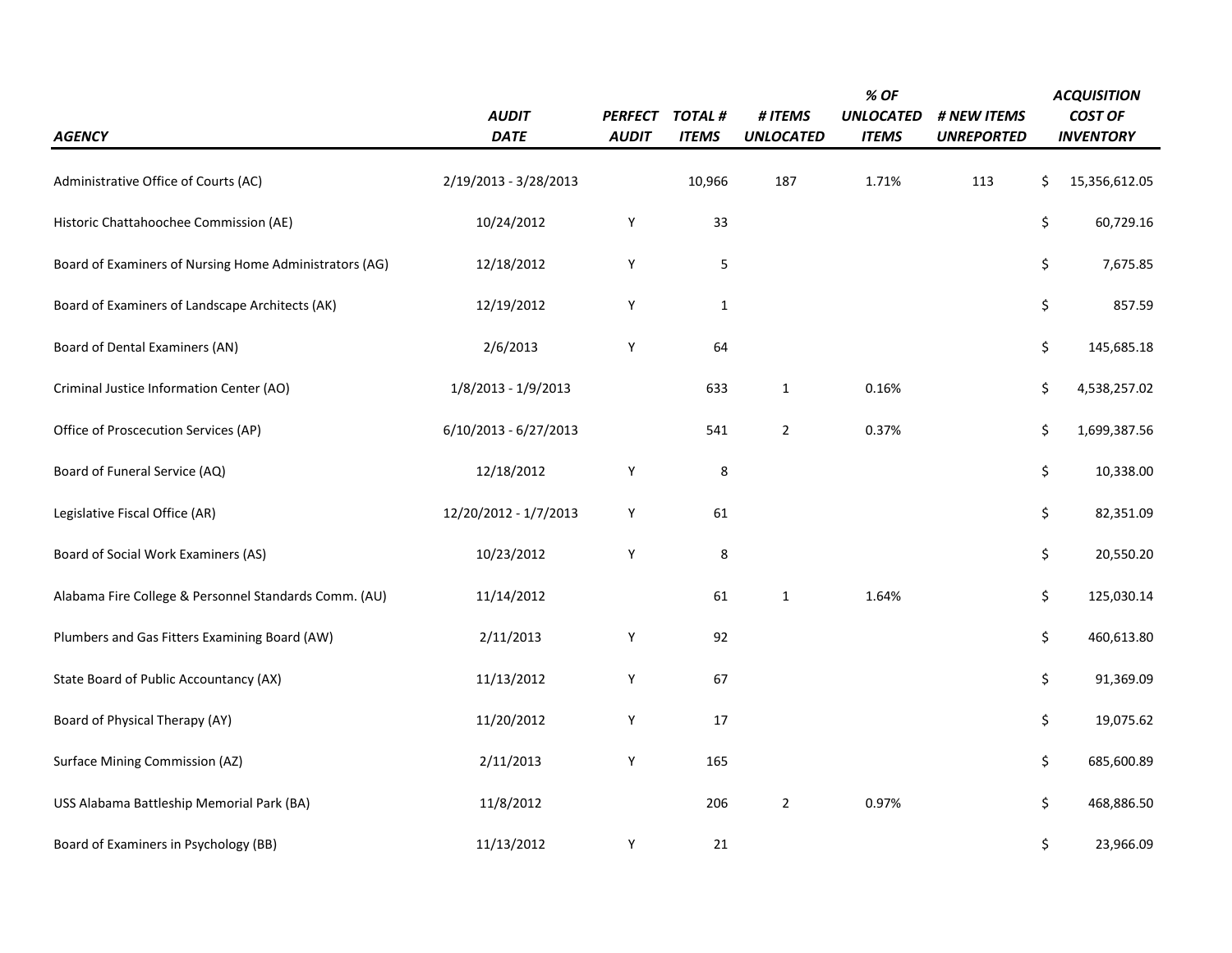| <b>AGENCY</b>                                          | <b>AUDIT</b><br><b>DATE</b> | <i><b>PERFECT</b></i><br><b>AUDIT</b> | <b>TOTAL#</b><br><b>ITEMS</b> | # ITEMS<br><b>UNLOCATED</b> | % OF<br><b>UNLOCATED</b><br><b>ITEMS</b> | # NEW ITEMS<br><b>UNREPORTED</b> | <b>ACQUISITION</b><br><b>COST OF</b><br><b>INVENTORY</b> |
|--------------------------------------------------------|-----------------------------|---------------------------------------|-------------------------------|-----------------------------|------------------------------------------|----------------------------------|----------------------------------------------------------|
| Administrative Office of Courts (AC)                   | 2/19/2013 - 3/28/2013       |                                       | 10,966                        | 187                         | 1.71%                                    | 113                              | \$<br>15,356,612.05                                      |
| Historic Chattahoochee Commission (AE)                 | 10/24/2012                  | Υ                                     | 33                            |                             |                                          |                                  | \$<br>60,729.16                                          |
| Board of Examiners of Nursing Home Administrators (AG) | 12/18/2012                  | Υ                                     | 5                             |                             |                                          |                                  | \$<br>7,675.85                                           |
| Board of Examiners of Landscape Architects (AK)        | 12/19/2012                  | Υ                                     | $\mathbf{1}$                  |                             |                                          |                                  | \$<br>857.59                                             |
| Board of Dental Examiners (AN)                         | 2/6/2013                    | Υ                                     | 64                            |                             |                                          |                                  | \$<br>145,685.18                                         |
| Criminal Justice Information Center (AO)               | 1/8/2013 - 1/9/2013         |                                       | 633                           | $\mathbf{1}$                | 0.16%                                    |                                  | \$<br>4,538,257.02                                       |
| Office of Proscecution Services (AP)                   | $6/10/2013 - 6/27/2013$     |                                       | 541                           | $\mathbf 2$                 | 0.37%                                    |                                  | \$<br>1,699,387.56                                       |
| Board of Funeral Service (AQ)                          | 12/18/2012                  | Υ                                     | $\,8\,$                       |                             |                                          |                                  | \$<br>10,338.00                                          |
| Legislative Fiscal Office (AR)                         | 12/20/2012 - 1/7/2013       | Υ                                     | 61                            |                             |                                          |                                  | \$<br>82,351.09                                          |
| Board of Social Work Examiners (AS)                    | 10/23/2012                  | Υ                                     | $\,8\,$                       |                             |                                          |                                  | \$<br>20,550.20                                          |
| Alabama Fire College & Personnel Standards Comm. (AU)  | 11/14/2012                  |                                       | 61                            | $\mathbf{1}$                | 1.64%                                    |                                  | \$<br>125,030.14                                         |
| Plumbers and Gas Fitters Examining Board (AW)          | 2/11/2013                   | Υ                                     | 92                            |                             |                                          |                                  | \$<br>460,613.80                                         |
| State Board of Public Accountancy (AX)                 | 11/13/2012                  | Υ                                     | 67                            |                             |                                          |                                  | \$<br>91,369.09                                          |
| Board of Physical Therapy (AY)                         | 11/20/2012                  | Υ                                     | 17                            |                             |                                          |                                  | \$<br>19,075.62                                          |
| <b>Surface Mining Commission (AZ)</b>                  | 2/11/2013                   | Υ                                     | 165                           |                             |                                          |                                  | \$<br>685,600.89                                         |
| USS Alabama Battleship Memorial Park (BA)              | 11/8/2012                   |                                       | 206                           | $\overline{2}$              | 0.97%                                    |                                  | \$<br>468,886.50                                         |
| Board of Examiners in Psychology (BB)                  | 11/13/2012                  | Υ                                     | 21                            |                             |                                          |                                  | \$<br>23,966.09                                          |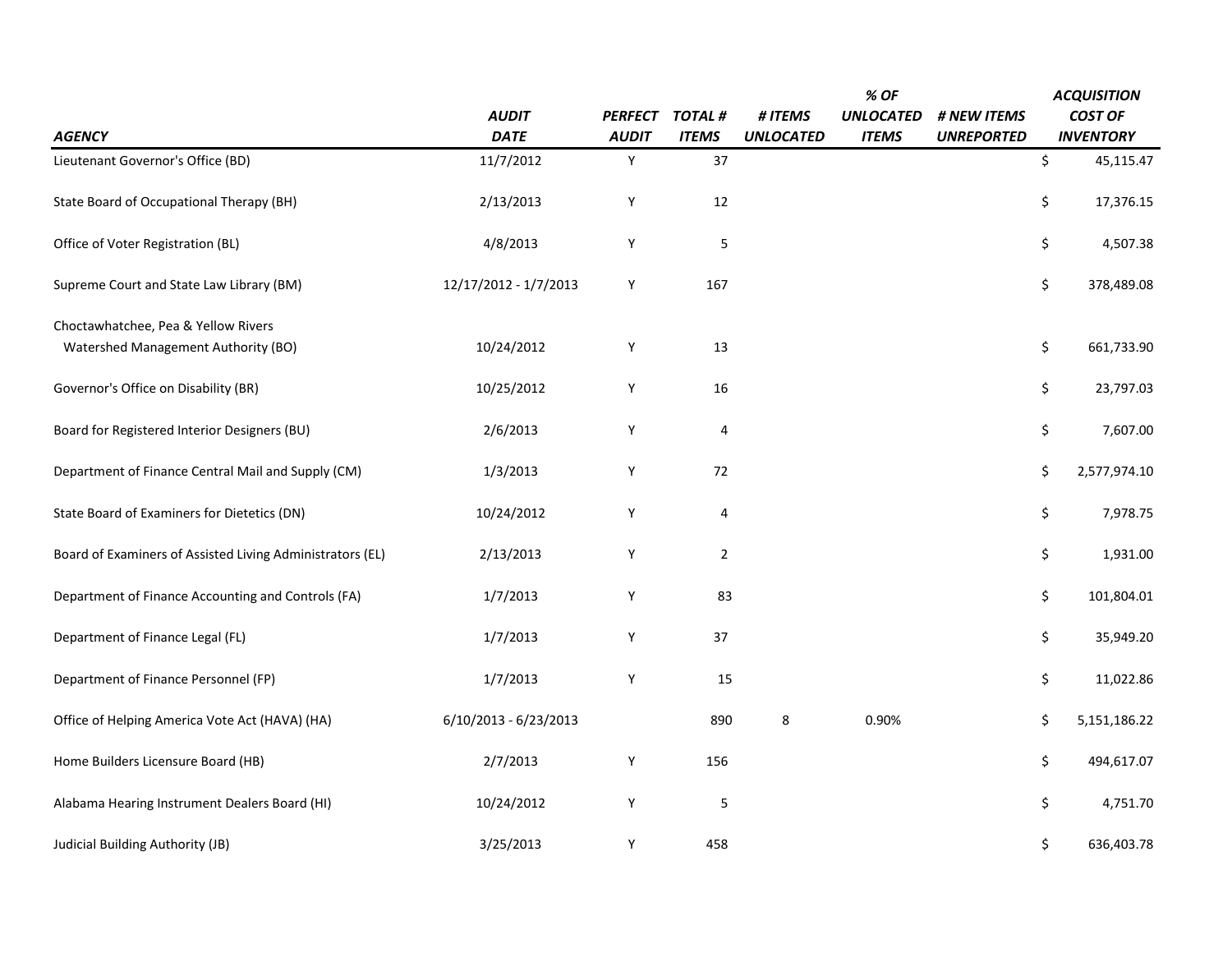|                                                           |                         |                |                |                  | % OF             |                   | <b>ACQUISITION</b> |
|-----------------------------------------------------------|-------------------------|----------------|----------------|------------------|------------------|-------------------|--------------------|
|                                                           | <b>AUDIT</b>            | <b>PERFECT</b> | TOTAL#         | # ITEMS          | <b>UNLOCATED</b> | # NEW ITEMS       | <b>COST OF</b>     |
| <b>AGENCY</b>                                             | <b>DATE</b>             | <b>AUDIT</b>   | <b>ITEMS</b>   | <b>UNLOCATED</b> | <b>ITEMS</b>     | <b>UNREPORTED</b> | <b>INVENTORY</b>   |
| Lieutenant Governor's Office (BD)                         | 11/7/2012               | Y              | 37             |                  |                  |                   | \$<br>45,115.47    |
| State Board of Occupational Therapy (BH)                  | 2/13/2013               | Υ              | 12             |                  |                  |                   | \$<br>17,376.15    |
| Office of Voter Registration (BL)                         | 4/8/2013                | Υ              | 5              |                  |                  |                   | \$<br>4,507.38     |
| Supreme Court and State Law Library (BM)                  | 12/17/2012 - 1/7/2013   | Υ              | 167            |                  |                  |                   | \$<br>378,489.08   |
| Choctawhatchee, Pea & Yellow Rivers                       |                         |                |                |                  |                  |                   |                    |
| Watershed Management Authority (BO)                       | 10/24/2012              | Υ              | 13             |                  |                  |                   | \$<br>661,733.90   |
| Governor's Office on Disability (BR)                      | 10/25/2012              | Υ              | 16             |                  |                  |                   | \$<br>23,797.03    |
| Board for Registered Interior Designers (BU)              | 2/6/2013                | Υ              | $\sqrt{4}$     |                  |                  |                   | \$<br>7,607.00     |
| Department of Finance Central Mail and Supply (CM)        | 1/3/2013                | Y              | 72             |                  |                  |                   | \$<br>2,577,974.10 |
| State Board of Examiners for Dietetics (DN)               | 10/24/2012              | Υ              | 4              |                  |                  |                   | \$<br>7,978.75     |
| Board of Examiners of Assisted Living Administrators (EL) | 2/13/2013               | Υ              | $\overline{2}$ |                  |                  |                   | \$<br>1,931.00     |
| Department of Finance Accounting and Controls (FA)        | 1/7/2013                | Υ              | 83             |                  |                  |                   | \$<br>101,804.01   |
| Department of Finance Legal (FL)                          | 1/7/2013                | Y              | 37             |                  |                  |                   | \$<br>35,949.20    |
| Department of Finance Personnel (FP)                      | 1/7/2013                | Υ              | 15             |                  |                  |                   | \$<br>11,022.86    |
| Office of Helping America Vote Act (HAVA) (HA)            | $6/10/2013 - 6/23/2013$ |                | 890            | 8                | 0.90%            |                   | \$<br>5,151,186.22 |
| Home Builders Licensure Board (HB)                        | 2/7/2013                | Υ              | 156            |                  |                  |                   | \$<br>494,617.07   |
| Alabama Hearing Instrument Dealers Board (HI)             | 10/24/2012              | Υ              | 5              |                  |                  |                   | \$<br>4,751.70     |
| Judicial Building Authority (JB)                          | 3/25/2013               | Υ              | 458            |                  |                  |                   | \$<br>636,403.78   |